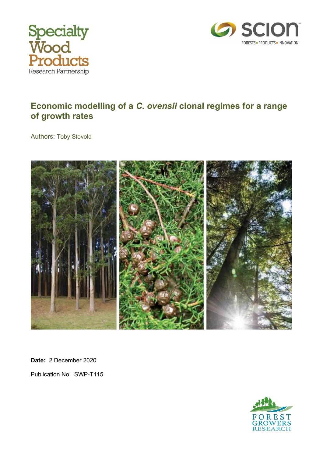



#### **Economic modelling of a** *C. ovensii* **clonal regimes for a range of growth rates**

Authors: Toby Stovold



**Date:** 2 December 2020 Publication No: SWP-T115

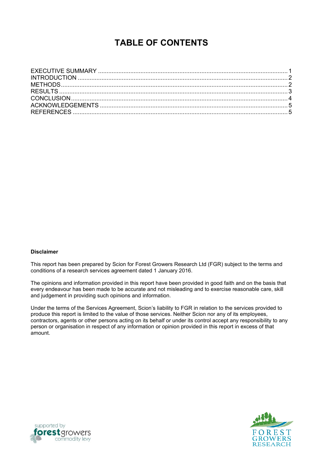## **TABLE OF CONTENTS**

#### **Disclaimer**

This report has been prepared by Scion for Forest Growers Research Ltd (FGR) subject to the terms and conditions of a research services agreement dated 1 January 2016.

The opinions and information provided in this report have been provided in good faith and on the basis that every endeavour has been made to be accurate and not misleading and to exercise reasonable care, skill and judgement in providing such opinions and information.

Under the terms of the Services Agreement, Scion's liability to FGR in relation to the services provided to produce this report is limited to the value of those services. Neither Scion nor any of its employees, contractors, agents or other persons acting on its behalf or under its control accept any responsibility to any person or organisation in respect of any information or opinion provided in this report in excess of that amount.



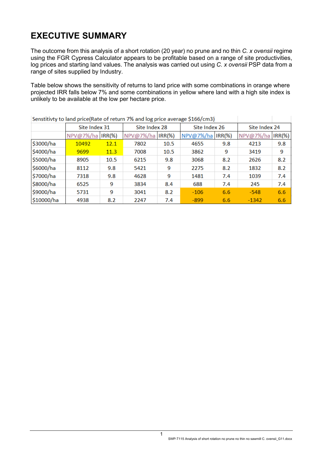# <span id="page-2-0"></span>**EXECUTIVE SUMMARY**

The outcome from this analysis of a short rotation (20 year) no prune and no thin *C. x ovensii* regime using the FGR Cypress Calculator appears to be profitable based on a range of site productivities, log prices and starting land values. The analysis was carried out using *C. x ovensii* PSP data from a range of sites supplied by Industry.

Table below shows the sensitivity of returns to land price with some combinations in orange where projected IRR falls below 7% and some combinations in yellow where land with a high site index is unlikely to be available at the low per hectare price.

| Senstitivty to land price(Rate of return 7% and log price average \$166/cm3) |                   |      |                        |      |               |           |               |           |
|------------------------------------------------------------------------------|-------------------|------|------------------------|------|---------------|-----------|---------------|-----------|
|                                                                              | Site Index 31     |      | Site Index 28          |      | Site Index 26 |           | Site Index 24 |           |
|                                                                              | NPV@7%/ha  IRR(%) |      | NPV@7%/ha<br>$IRR$ $%$ |      | NPV@7%/ha     | $IRR$ $%$ | NPV@7%/ha     | $IRR(\%)$ |
| \$3000/ha                                                                    | 10492             | 12.1 | 7802                   | 10.5 | 4655          | 9.8       | 4213          | 9.8       |
| \$4000/ha                                                                    | 9699              | 11.3 | 7008                   | 10.5 | 3862          | 9         | 3419          | 9         |
| \$5000/ha                                                                    | 8905              | 10.5 | 6215                   | 9.8  | 3068          | 8.2       | 2626          | 8.2       |
| \$6000/ha                                                                    | 8112              | 9.8  | 5421                   | 9    | 2275          | 8.2       | 1832          | 8.2       |
| \$7000/ha                                                                    | 7318              | 9.8  | 4628                   | 9    | 1481          | 7.4       | 1039          | 7.4       |
| \$8000/ha                                                                    | 6525              | 9    | 3834                   | 8.4  | 688           | 7.4       | 245           | 7.4       |
| \$9000/ha                                                                    | 5731              | 9    | 3041                   | 8.2  | $-106$        | 6.6       | $-548$        | 6.6       |
| \$10000/ha                                                                   | 4938              | 8.2  | 2247                   | 7.4  | $-899$        | 6.6       | $-1342$       | 6.6       |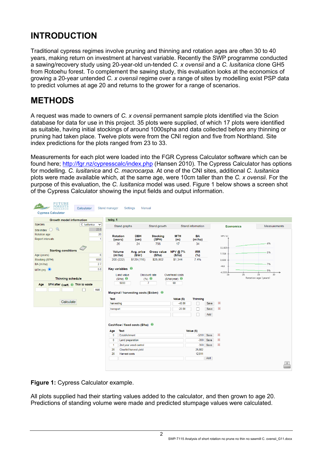# <span id="page-3-0"></span>**INTRODUCTION**

Traditional cypress regimes involve pruning and thinning and rotation ages are often 30 to 40 years, making return on investment at harvest variable. Recently the SWP programme conducted a sawing/recovery study using 20-year-old un-tended *C. x ovensii* and a *C. lusitanica* clone GH5 from Rotoehu forest. To complement the sawing study, this evaluation looks at the economics of growing a 20-year untended *C. x ovensii* regime over a range of sites by modelling exist PSP data to predict volumes at age 20 and returns to the grower for a range of scenarios.

### <span id="page-3-1"></span>**METHODS**

A request was made to owners of *C. x ovensii* permanent sample plots identified via the Scion database for data for use in this project. 35 plots were supplied, of which 17 plots were identified as suitable, having initial stockings of around 1000spha and data collected before any thinning or pruning had taken place. Twelve plots were from the CNI region and five from Northland. Site index predictions for the plots ranged from 23 to 33.

Measurements for each plot were loaded into the FGR Cypress Calculator software which can be found here; <http://fgr.nz/cypresscalc/index.php> (Hansen 2010). The Cypress Calculator has options for modelling. *C. lusitanica* and *C. macrocarpa.* At one of the CNI sites, additional *C. lusitanica* plots were made available which, at the same age, were 10cm taller than the *C. x ovensii*. For the purpose of this evaluation, the *C. lusitanica* model was used. Figure 1 below shows a screen shot of the Cypress Calculator showing the input fields and output information.

| <b>FUTURE</b><br>FORESTS<br>Calculator<br><b>RESEARCH</b><br><b>Cypress Calculator</b> | Stand manager                                                                                                                                                                                                       | <b>Settings</b><br>Manual              |                           |                      |                                   |      |                  |                     |  |
|----------------------------------------------------------------------------------------|---------------------------------------------------------------------------------------------------------------------------------------------------------------------------------------------------------------------|----------------------------------------|---------------------------|----------------------|-----------------------------------|------|------------------|---------------------|--|
| <b>Growth model information</b>                                                        | toby, 1                                                                                                                                                                                                             |                                        |                           |                      |                                   |      |                  |                     |  |
| Species<br>C. lusitanica<br>$\check{~}$<br>Q<br>23.8<br>Site index $\bigcirc$          | Stand graphs                                                                                                                                                                                                        |                                        | Stand growth              |                      | Stand information                 |      | <b>Economics</b> | <b>Measurements</b> |  |
| 20<br>Rotation age<br>Report intervals<br>$\mathbf{1}$                                 | <b>Rotation</b><br>(years)                                                                                                                                                                                          | <b>DBH</b><br>(cm)                     | <b>Stocking</b><br>(SPH)  | <b>MTH</b><br>(m)    | <b>BA</b><br>(m <sup>i</sup> /ha) |      | NPV (s)          |                     |  |
| <b>Starting conditions</b>                                                             | 20<br><b>Volume</b>                                                                                                                                                                                                 | 24<br>Avg. price                       | 756<br><b>Gross value</b> | 17<br><b>NPV @7%</b> | 34<br><b>IRR</b>                  |      | 11,825-          | .4%<br>5%           |  |
| $6\phantom{1}6$<br>Age (years)                                                         | (m <sup>2</sup> /ha)                                                                                                                                                                                                | (S/m)                                  | (S/ha)                    | (S/ha)               | (%)                               |      | 7,729            |                     |  |
| Stocking (SPH)<br>1000                                                                 | 200 (222)                                                                                                                                                                                                           | \$129(116)                             | \$25,802                  | \$1,344              | 7.4%                              |      | 3,633            |                     |  |
| 2.7<br>BA (m'/ha)                                                                      |                                                                                                                                                                                                                     |                                        |                           |                      |                                   |      | $-463$           | 7%                  |  |
| 5.8<br>$MTH(m)$ $\odot$                                                                | Key variables 0                                                                                                                                                                                                     |                                        |                           |                      |                                   |      |                  | 9%                  |  |
| <b>Thinning schedule</b><br>SPH after Coeff. <sup>(1)</sup> Thin to waste<br>Age       | $-4,559$<br>28<br>Overhead costs<br><b>Land value</b><br><b>Discount rate</b><br>26<br>24<br>Rotation age (years)<br>$(%)$ $\bullet$<br>$(S/ha)$ <b>O</b><br>$(S/ha/year)$ <b>0</b><br>5000<br>$\overline{7}$<br>60 |                                        |                           |                      |                                   |      |                  |                     |  |
| Add<br>Calculate                                                                       | Text                                                                                                                                                                                                                | Marginal / harvesting costs (\$/cbm) 0 |                           | Value (\$)           | <b>Thinning</b>                   |      |                  |                     |  |
|                                                                                        | harvesting                                                                                                                                                                                                          |                                        |                           | $-40.00$             | L                                 | Save | 33               |                     |  |
|                                                                                        | transport                                                                                                                                                                                                           |                                        |                           |                      |                                   | Save | 器                |                     |  |
|                                                                                        |                                                                                                                                                                                                                     |                                        |                           |                      |                                   | Add  |                  |                     |  |
|                                                                                        |                                                                                                                                                                                                                     | Cashflow / fixed costs (\$/ha) 0       |                           |                      |                                   |      |                  |                     |  |
|                                                                                        | Text<br>Age                                                                                                                                                                                                         |                                        |                           |                      | Value (\$)                        |      |                  |                     |  |
|                                                                                        | $\overline{\mathbf{0}}$<br><b>Establishment</b>                                                                                                                                                                     |                                        |                           |                      | $-3200$                           | Save | $^{22}$          |                     |  |
|                                                                                        | $\overline{0}$<br><b>Land preparation</b>                                                                                                                                                                           |                                        |                           |                      | $-300$                            | Save | $^{22}$          |                     |  |
|                                                                                        | 2nd year weed control<br>$\overline{1}$                                                                                                                                                                             |                                        |                           |                      | $-300$                            | Save | $^{22}$          |                     |  |
|                                                                                        | 20<br>Clearfell harvest yield                                                                                                                                                                                       |                                        |                           |                      | 25,802                            |      |                  |                     |  |
|                                                                                        | 20<br>Harvest costs                                                                                                                                                                                                 |                                        |                           |                      | 12,011                            |      |                  |                     |  |
|                                                                                        |                                                                                                                                                                                                                     |                                        |                           |                      |                                   | Add  |                  |                     |  |
|                                                                                        |                                                                                                                                                                                                                     |                                        |                           |                      |                                   |      |                  |                     |  |

**Figure 1:** Cypress Calculator example.

All plots supplied had their starting values added to the calculator, and then grown to age 20. Predictions of standing volume were made and predicted stumpage values were calculated.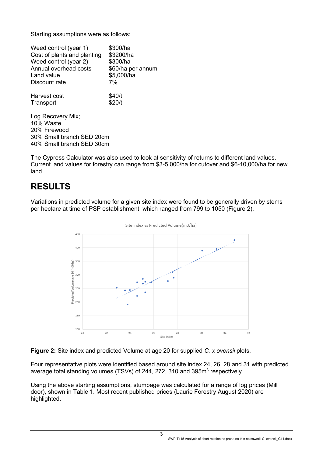Starting assumptions were as follows:

| Weed control (year 1)<br>Cost of plants and planting<br>Weed control (year 2)<br>Annual overhead costs<br>Land value<br>Discount rate | \$300/ha<br>\$3200/ha<br>\$300/ha<br>\$60/ha per annum<br>\$5,000/ha<br>7% |
|---------------------------------------------------------------------------------------------------------------------------------------|----------------------------------------------------------------------------|
| Harvest cost                                                                                                                          | \$40/t                                                                     |
| Transport                                                                                                                             | \$20/t                                                                     |
| Log Recovery Mix;                                                                                                                     |                                                                            |
| 10% Waste                                                                                                                             |                                                                            |
| 20% Firewood                                                                                                                          |                                                                            |
| 30% Small branch SED 20cm                                                                                                             |                                                                            |
| 40% Small branch SED 30cm                                                                                                             |                                                                            |

The Cypress Calculator was also used to look at sensitivity of returns to different land values. Current land values for forestry can range from \$3-5,000/ha for cutover and \$6-10,000/ha for new land.

## <span id="page-4-0"></span>**RESULTS**

Variations in predicted volume for a given site index were found to be generally driven by stems per hectare at time of PSP establishment, which ranged from 799 to 1050 (Figure 2).



Site index vs Predicted Volume(m3/ha)

**Figure 2:** Site index and predicted Volume at age 20 for supplied *C. x ovensii* plots.

Four representative plots were identified based around site index 24, 26, 28 and 31 with predicted average total standing volumes (TSVs) of 244, 272, 310 and 395m<sup>3</sup> respectively.

Using the above starting assumptions, stumpage was calculated for a range of log prices (Mill door), shown in Table 1. Most recent published prices (Laurie Forestry August 2020) are highlighted.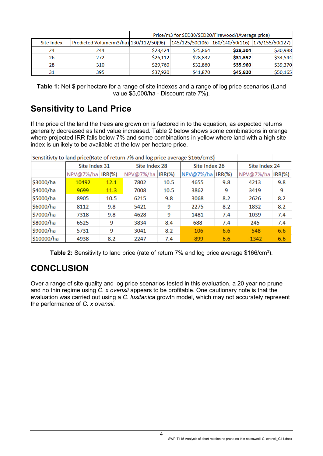|            |                                        | Price/m3 for SED30/SED20/Firewood/(Average price) |          |                                                 |          |  |  |  |  |
|------------|----------------------------------------|---------------------------------------------------|----------|-------------------------------------------------|----------|--|--|--|--|
| Site Index | Predicted Volume(m3/ha) 130/112/50(96) |                                                   |          | 145/125/50(106) 160/140/50(116) 175/155/50(127) |          |  |  |  |  |
| 24         | 244                                    | \$23,424                                          | \$25,864 | \$28,304                                        | \$30,988 |  |  |  |  |
| 26         | 272                                    | \$26,112                                          | \$28,832 | \$31,552                                        | \$34,544 |  |  |  |  |
| 28         | 310                                    | \$29,760                                          | \$32,860 | \$35,960                                        | \$39,370 |  |  |  |  |
| 31         | 395                                    | \$37,920                                          | \$41,870 | \$45,820                                        | \$50,165 |  |  |  |  |

**Table 1:** Net \$ per hectare for a range of site indexes and a range of log price scenarios (Land value \$5,000/ha - Discount rate 7%).

### **Sensitivity to Land Price**

If the price of the land the trees are grown on is factored in to the equation, as expected returns generally decreased as land value increased. Table 2 below shows some combinations in orange where projected IRR falls below 7% and some combinations in yellow where land with a high site index is unlikely to be available at the low per hectare price.

| Senstitivity to land price(Rate of return 7% and log price average \$166/cm3) |                   |      |           |               |                    |               |           |               |  |
|-------------------------------------------------------------------------------|-------------------|------|-----------|---------------|--------------------|---------------|-----------|---------------|--|
|                                                                               | Site Index 31     |      |           | Site Index 28 |                    | Site Index 26 |           | Site Index 24 |  |
|                                                                               | NPV@7%/ha  IRR(%) |      | NPV@7%/ha | $IRR$ $%$     | NPV@7%/ha   IRR(%) |               | NPV@7%/ha | $IRR(\%)$     |  |
| \$3000/ha                                                                     | 10492             | 12.1 | 7802      | 10.5          | 4655               | 9.8           | 4213      | 9.8           |  |
| \$4000/ha                                                                     | 9699              | 11.3 | 7008      | 10.5          | 3862               | 9             | 3419      | 9             |  |
| \$5000/ha                                                                     | 8905              | 10.5 | 6215      | 9.8           | 3068               | 8.2           | 2626      | 8.2           |  |
| \$6000/ha                                                                     | 8112              | 9.8  | 5421      | 9             | 2275               | 8.2           | 1832      | 8.2           |  |
| \$7000/ha                                                                     | 7318              | 9.8  | 4628      | 9             | 1481               | 7.4           | 1039      | 7.4           |  |
| \$8000/ha                                                                     | 6525              | 9    | 3834      | 8.4           | 688                | 7.4           | 245       | 7.4           |  |
| \$9000/ha                                                                     | 5731              | 9    | 3041      | 8.2           | $-106$             | 6.6           | $-548$    | 6.6           |  |
| \$10000/ha                                                                    | 4938              | 8.2  | 2247      | 7.4           | $-899$             | 6.6           | $-1342$   | 6.6           |  |

λb.  $64551 - 21$  $\mathbb{R}^2$ 

<span id="page-5-1"></span>**Table 2:** Sensitivity to land price (rate of return 7% and log price average \$166/cm<sup>3</sup>).

### <span id="page-5-0"></span>**CONCLUSION**

Over a range of site quality and log price scenarios tested in this evaluation, a 20 year no prune and no thin regime using *C. x ovensii* appears to be profitable. One cautionary note is that the evaluation was carried out using a *C. lusitanica* growth model, which may not accurately represent the performance of *C. x ovensii*.

4